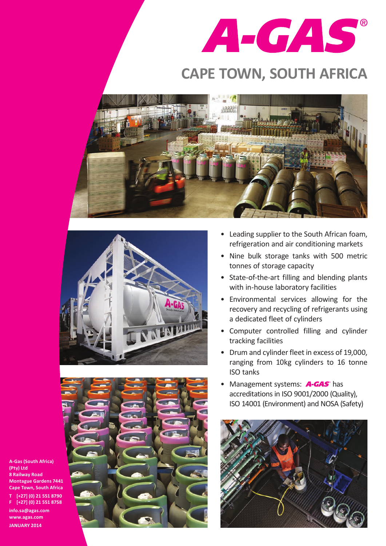

## **CAPE TOWN, SOUTH AFRICA**







- • Leading supplier to the South African foam, refrigeration and air conditioning markets
- Nine bulk storage tanks with 500 metric tonnes of storage capacity
- State-of-the-art filling and blending plants with in-house laboratory facilities
- • Environmental services allowing for the recovery and recycling of refrigerants using a dedicated fleet of cylinders
- • Computer controlled filling and cylinder tracking facilities
- Drum and cylinder fleet in excess of 19,000, ranging from 10kg cylinders to 16 tonne ISO tanks
- Management systems: **A-GAS** has accreditations in ISO 9001/2000 (Quality). ISO 14001 (Environment) and NOSA (Safety)



**A-Gas (South Africa) (Pty) Ltd 8 Railway Road Montague Gardens 7441 Cape Town, South Africa T [+27] (0) 21 551 8790 F [+27] (0) 21 551 8758 info.sa@agas.com www.agas.com**

**JANUARY 2014**